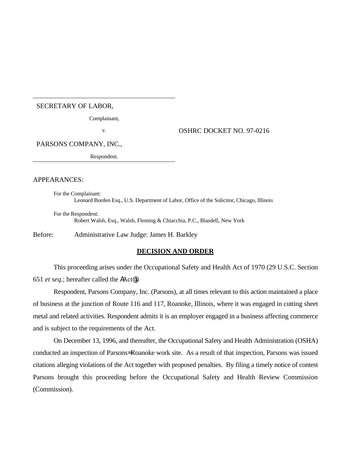#### SECRETARY OF LABOR,

Complainant,

v. OSHRC DOCKET NO. 97-0216

PARSONS COMPANY, INC.,

Respondent.

### APPEARANCES:

For the Complainant: Leonard Borden Esq., U.S. Department of Labor, Office of the Solicitor, Chicago, Illinois

For the Respondent: Robert Walsh, Esq., Walsh, Fleming & Chiacchia, P.C., Blasdell, New York

Before: Administrative Law Judge: James H. Barkley

### **DECISION AND ORDER**

This proceeding arises under the Occupational Safety and Health Act of 1970 (29 U.S.C. Section 651 *et seq.*; hereafter called the AAct@).

Respondent, Parsons Company, Inc. (Parsons), at all times relevant to this action maintained a place of business at the junction of Route 116 and 117, Roanoke, Illinois, where it was engaged in cutting sheet metal and related activities. Respondent admits it is an employer engaged in a business affecting commerce and is subject to the requirements of the Act.

On December 13, 1996, and thereafter, the Occupational Safety and Health Administration (OSHA) conducted an inspection of Parsons= Roanoke work site. As a result of that inspection, Parsons was issued citations alleging violations of the Act together with proposed penalties. By filing a timely notice of contest Parsons brought this proceeding before the Occupational Safety and Health Review Commission (Commission).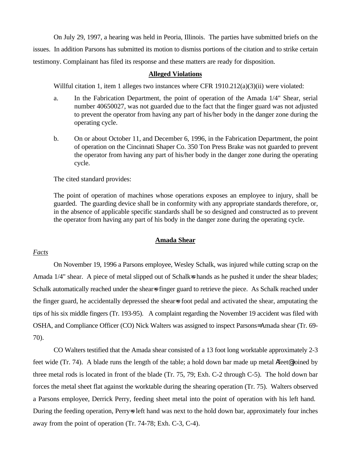On July 29, 1997, a hearing was held in Peoria, Illinois. The parties have submitted briefs on the issues. In addition Parsons has submitted its motion to dismiss portions of the citation and to strike certain testimony. Complainant has filed its response and these matters are ready for disposition.

### **Alleged Violations**

Willful citation 1, item 1 alleges two instances where CFR 1910.212(a)(3)(ii) were violated:

- a. In the Fabrication Department, the point of operation of the Amada 1/4" Shear, serial number 40650027, was not guarded due to the fact that the finger guard was not adjusted to prevent the operator from having any part of his/her body in the danger zone during the operating cycle.
- b. On or about October 11, and December 6, 1996, in the Fabrication Department, the point of operation on the Cincinnati Shaper Co. 350 Ton Press Brake was not guarded to prevent the operator from having any part of his/her body in the danger zone during the operating cycle.

The cited standard provides:

The point of operation of machines whose operations exposes an employee to injury, shall be guarded. The guarding device shall be in conformity with any appropriate standards therefore, or, in the absence of applicable specific standards shall be so designed and constructed as to prevent the operator from having any part of his body in the danger zone during the operating cycle.

### **Amada Shear**

# *Facts*

On November 19, 1996 a Parsons employee, Wesley Schalk, was injured while cutting scrap on the Amada 1/4" shear. A piece of metal slipped out of Schalk=s hands as he pushed it under the shear blades; Schalk automatically reached under the shears finger guard to retrieve the piece. As Schalk reached under the finger guard, he accidentally depressed the shear=s foot pedal and activated the shear, amputating the tips of his six middle fingers (Tr. 193-95). A complaint regarding the November 19 accident was filed with OSHA, and Compliance Officer (CO) Nick Walters was assigned to inspect Parsons= Amada shear (Tr. 69- 70).

CO Walters testified that the Amada shear consisted of a 13 foot long worktable approximately 2-3 feet wide (Tr. 74). A blade runs the length of the table; a hold down bar made up metal Afeet@ joined by three metal rods is located in front of the blade (Tr. 75, 79; Exh. C-2 through C-5). The hold down bar forces the metal sheet flat against the worktable during the shearing operation (Tr. 75). Walters observed a Parsons employee, Derrick Perry, feeding sheet metal into the point of operation with his left hand. During the feeding operation, Perry-s left hand was next to the hold down bar, approximately four inches away from the point of operation (Tr. 74-78; Exh. C-3, C-4).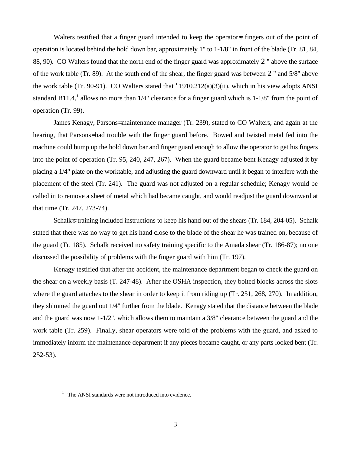Walters testified that a finger guard intended to keep the operator-s fingers out of the point of operation is located behind the hold down bar, approximately 1" to 1-1/8" in front of the blade (Tr. 81, 84, 88, 90). CO Walters found that the north end of the finger guard was approximately 2" above the surface of the work table (Tr. 89). At the south end of the shear, the finger guard was between 2" and 5/8" above the work table (Tr. 90-91). CO Walters stated that '1910.212(a)(3)(ii), which in his view adopts ANSI standard B11.4,<sup>1</sup> allows no more than  $1/4$ " clearance for a finger guard which is  $1-1/8$ " from the point of operation (Tr. 99).

James Kenagy, Parsons= maintenance manager (Tr. 239), stated to CO Walters, and again at the hearing, that Parsons= had trouble with the finger guard before. Bowed and twisted metal fed into the machine could bump up the hold down bar and finger guard enough to allow the operator to get his fingers into the point of operation (Tr. 95, 240, 247, 267). When the guard became bent Kenagy adjusted it by placing a 1/4" plate on the worktable, and adjusting the guard downward until it began to interfere with the placement of the steel (Tr. 241). The guard was not adjusted on a regular schedule; Kenagy would be called in to remove a sheet of metal which had became caught, and would readjust the guard downward at that time (Tr. 247, 273-74).

Schalk=s training included instructions to keep his hand out of the shears (Tr. 184, 204-05). Schalk stated that there was no way to get his hand close to the blade of the shear he was trained on, because of the guard (Tr. 185). Schalk received no safety training specific to the Amada shear (Tr. 186-87); no one discussed the possibility of problems with the finger guard with him (Tr. 197).

Kenagy testified that after the accident, the maintenance department began to check the guard on the shear on a weekly basis (T. 247-48). After the OSHA inspection, they bolted blocks across the slots where the guard attaches to the shear in order to keep it from riding up (Tr. 251, 268, 270). In addition, they shimmed the guard out 1/4" further from the blade. Kenagy stated that the distance between the blade and the guard was now 1-1/2", which allows them to maintain a 3/8" clearance between the guard and the work table (Tr. 259). Finally, shear operators were told of the problems with the guard, and asked to immediately inform the maintenance department if any pieces became caught, or any parts looked bent (Tr. 252-53).

 $\overline{a}$ 

<sup>&</sup>lt;sup>1</sup> The ANSI standards were not introduced into evidence.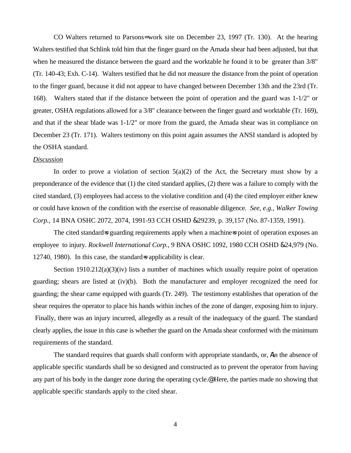CO Walters returned to Parsons= work site on December 23, 1997 (Tr. 130). At the hearing Walters testified that Schlink told him that the finger guard on the Amada shear had been adjusted, but that when he measured the distance between the guard and the worktable he found it to be greater than  $3/8$ " (Tr. 140-43; Exh. C-14). Walters testified that he did not measure the distance from the point of operation to the finger guard, because it did not appear to have changed between December 13th and the 23rd (Tr. 168). Walters stated that if the distance between the point of operation and the guard was 1-1/2" or greater, OSHA regulations allowed for a 3/8" clearance between the finger guard and worktable (Tr. 169), and that if the shear blade was 1-1/2" or more from the guard, the Amada shear was in compliance on December 23 (Tr. 171). Walters testimony on this point again assumes the ANSI standard is adopted by the OSHA standard.

### *Discussion*

In order to prove a violation of section  $5(a)(2)$  of the Act, the Secretary must show by a preponderance of the evidence that (1) the cited standard applies, (2) there was a failure to comply with the cited standard, (3) employees had access to the violative condition and (4) the cited employer either knew or could have known of the condition with the exercise of reasonable diligence. *See, e.g., Walker Towing Corp.*, 14 BNA OSHC 2072, 2074, 1991-93 CCH OSHD &29239, p. 39,157 (No. 87-1359, 1991).

The cited standard=s guarding requirements apply when a machine=s point of operation exposes an employee to injury. *Rockwell International Corp.,* 9 BNA OSHC 1092, 1980 CCH OSHD &24,979 (No. 12740, 1980). In this case, the standard=s applicability is clear.

Section 1910.212(a)(3)(iv) lists a number of machines which usually require point of operation guarding; shears are listed at (iv)(b). Both the manufacturer and employer recognized the need for guarding; the shear came equipped with guards (Tr. 249). The testimony establishes that operation of the shear requires the operator to place his hands within inches of the zone of danger, exposing him to injury. Finally, there was an injury incurred, allegedly as a result of the inadequacy of the guard. The standard clearly applies, the issue in this case is whether the guard on the Amada shear conformed with the minimum requirements of the standard.

The standard requires that guards shall conform with appropriate standards, or, Ain the absence of applicable specific standards shall be so designed and constructed as to prevent the operator from having any part of his body in the danger zone during the operating cycle.@ Here, the parties made no showing that applicable specific standards apply to the cited shear.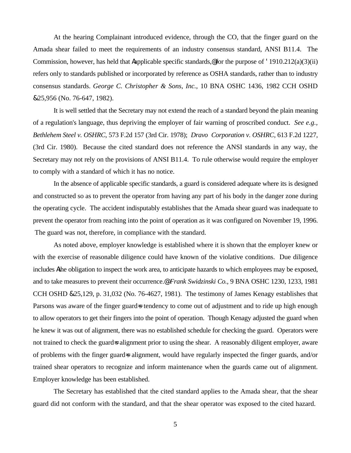At the hearing Complainant introduced evidence, through the CO, that the finger guard on the Amada shear failed to meet the requirements of an industry consensus standard, ANSI B11.4. The Commission, however, has held that Aapplicable specific standards,  $\epsilon$  for the purpose of '1910.212(a)(3)(ii) refers only to standards published or incorporated by reference as OSHA standards, rather than to industry consensus standards. *George C. Christopher & Sons, Inc.*, 10 BNA OSHC 1436, 1982 CCH OSHD &25,956 (No. 76-647, 1982).

It is well settled that the Secretary may not extend the reach of a standard beyond the plain meaning of a regulation's language, thus depriving the employer of fair warning of proscribed conduct. *See e.g., Bethlehem Steel v. OSHRC*, 573 F.2d 157 (3rd Cir. 1978); *Dravo Corporation v. OSHRC,* 613 F.2d 1227, (3rd Cir. 1980). Because the cited standard does not reference the ANSI standards in any way, the Secretary may not rely on the provisions of ANSI B11.4. To rule otherwise would require the employer to comply with a standard of which it has no notice.

In the absence of applicable specific standards, a guard is considered adequate where its is designed and constructed so as to prevent the operator from having any part of his body in the danger zone during the operating cycle. The accident indisputably establishes that the Amada shear guard was inadequate to prevent the operator from reaching into the point of operation as it was configured on November 19, 1996. The guard was not, therefore, in compliance with the standard.

As noted above, employer knowledge is established where it is shown that the employer knew or with the exercise of reasonable diligence could have known of the violative conditions. Due diligence includes Athe obligation to inspect the work area, to anticipate hazards to which employees may be exposed, and to take measures to prevent their occurrence.@ *Frank Swidzinski Co.,* 9 BNA OSHC 1230, 1233, 1981 CCH OSHD &25,129, p. 31,032 (No. 76-4627, 1981). The testimony of James Kenagy establishes that Parsons was aware of the finger guard=s tendency to come out of adjustment and to ride up high enough to allow operators to get their fingers into the point of operation. Though Kenagy adjusted the guard when he knew it was out of alignment, there was no established schedule for checking the guard. Operators were not trained to check the guard=s alignment prior to using the shear. A reasonably diligent employer, aware of problems with the finger guard=s alignment, would have regularly inspected the finger guards, and/or trained shear operators to recognize and inform maintenance when the guards came out of alignment. Employer knowledge has been established.

The Secretary has established that the cited standard applies to the Amada shear, that the shear guard did not conform with the standard, and that the shear operator was exposed to the cited hazard.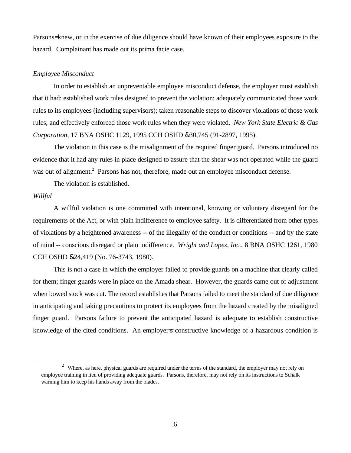Parsons= knew, or in the exercise of due diligence should have known of their employees exposure to the hazard. Complainant has made out its prima facie case.

#### *Employee Misconduct*

In order to establish an unpreventable employee misconduct defense, the employer must establish that it had: established work rules designed to prevent the violation; adequately communicated those work rules to its employees (including supervisors); taken reasonable steps to discover violations of those work rules; and effectively enforced those work rules when they were violated. *New York State Electric & Gas Corporation*, 17 BNA OSHC 1129, 1995 CCH OSHD &30,745 (91-2897, 1995).

The violation in this case is the misalignment of the required finger guard. Parsons introduced no evidence that it had any rules in place designed to assure that the shear was not operated while the guard was out of alignment.<sup>2</sup> Parsons has not, therefore, made out an employee misconduct defense.

The violation is established.

# *Willful*

 $\overline{a}$ 

A willful violation is one committed with intentional, knowing or voluntary disregard for the requirements of the Act, or with plain indifference to employee safety. It is differentiated from other types of violations by a heightened awareness -- of the illegality of the conduct or conditions -- and by the state of mind -- conscious disregard or plain indifference. *Wright and Lopez, Inc.*, 8 BNA OSHC 1261, 1980 CCH OSHD &24,419 (No. 76-3743, 1980).

This is not a case in which the employer failed to provide guards on a machine that clearly called for them; finger guards were in place on the Amada shear. However, the guards came out of adjustment when bowed stock was cut. The record establishes that Parsons failed to meet the standard of due diligence in anticipating and taking precautions to protect its employees from the hazard created by the misaligned finger guard. Parsons failure to prevent the anticipated hazard is adequate to establish constructive knowledge of the cited conditions. An employer is constructive knowledge of a hazardous condition is

 $2$  Where, as here, physical guards are required under the terms of the standard, the employer may not rely on employee training in lieu of providing adequate guards. Parsons, therefore, may not rely on its instructions to Schalk warning him to keep his hands away from the blades.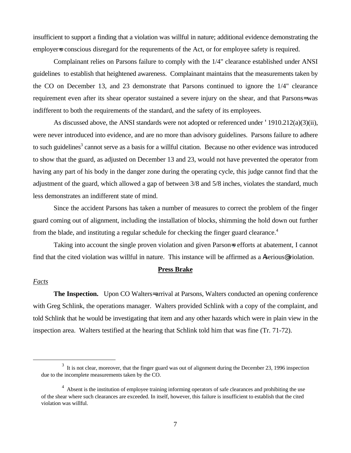insufficient to support a finding that a violation was willful in nature; additional evidence demonstrating the employer is conscious disregard for the requrements of the Act, or for employee safety is required.

Complainant relies on Parsons failure to comply with the 1/4" clearance established under ANSI guidelines to establish that heightened awareness. Complainant maintains that the measurements taken by the CO on December 13, and 23 demonstrate that Parsons continued to ignore the 1/4" clearance requirement even after its shear operator sustained a severe injury on the shear, and that Parsons= was indifferent to both the requirements of the standard, and the safety of its employees.

As discussed above, the ANSI standards were not adopted or referenced under '1910.212(a)(3)(ii), were never introduced into evidence, and are no more than advisory guidelines. Parsons failure to adhere to such guidelines<sup>3</sup> cannot serve as a basis for a willful citation. Because no other evidence was introduced to show that the guard, as adjusted on December 13 and 23, would not have prevented the operator from having any part of his body in the danger zone during the operating cycle, this judge cannot find that the adjustment of the guard, which allowed a gap of between 3/8 and 5/8 inches, violates the standard, much less demonstrates an indifferent state of mind.

Since the accident Parsons has taken a number of measures to correct the problem of the finger guard coming out of alignment, including the installation of blocks, shimming the hold down out further from the blade, and instituting a regular schedule for checking the finger guard clearance.<sup>4</sup>

Taking into account the single proven violation and given Parson=s efforts at abatement, I cannot find that the cited violation was willful in nature. This instance will be affirmed as a Aserious@ violation.

### **Press Brake**

# *Facts*

 $\overline{a}$ 

**The Inspection.** Upon CO Walters= arrival at Parsons, Walters conducted an opening conference with Greg Schlink, the operations manager. Walters provided Schlink with a copy of the complaint, and told Schlink that he would be investigating that item and any other hazards which were in plain view in the inspection area. Walters testified at the hearing that Schlink told him that was fine (Tr. 71-72).

 $3\,$  It is not clear, moreover, that the finger guard was out of alignment during the December 23, 1996 inspection due to the incomplete measurements taken by the CO.

<sup>&</sup>lt;sup>4</sup> Absent is the institution of employee training informing operators of safe clearances and prohibiting the use of the shear where such clearances are exceeded. In itself, however, this failure is insufficient to establish that the cited violation was willful.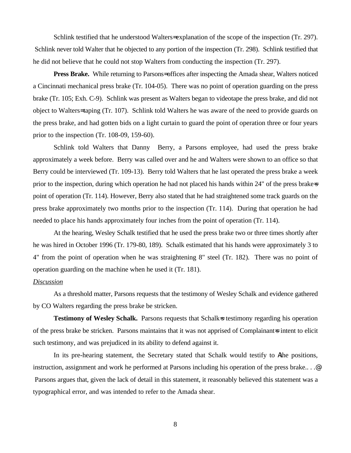Schlink testified that he understood Walters= explanation of the scope of the inspection (Tr. 297). Schlink never told Walter that he objected to any portion of the inspection (Tr. 298). Schlink testified that he did not believe that he could not stop Walters from conducting the inspection (Tr. 297).

**Press Brake.** While returning to Parsons= offices after inspecting the Amada shear, Walters noticed a Cincinnati mechanical press brake (Tr. 104-05). There was no point of operation guarding on the press brake (Tr. 105; Exh. C-9). Schlink was present as Walters began to videotape the press brake, and did not object to Walters= taping (Tr. 107). Schlink told Walters he was aware of the need to provide guards on the press brake, and had gotten bids on a light curtain to guard the point of operation three or four years prior to the inspection (Tr. 108-09, 159-60).

Schlink told Walters that Danny Berry, a Parsons employee, had used the press brake approximately a week before. Berry was called over and he and Walters were shown to an office so that Berry could be interviewed (Tr. 109-13). Berry told Walters that he last operated the press brake a week prior to the inspection, during which operation he had not placed his hands within 24" of the press brake=s point of operation (Tr. 114). However, Berry also stated that he had straightened some track guards on the press brake approximately two months prior to the inspection (Tr. 114). During that operation he had needed to place his hands approximately four inches from the point of operation (Tr. 114).

At the hearing, Wesley Schalk testified that he used the press brake two or three times shortly after he was hired in October 1996 (Tr. 179-80, 189). Schalk estimated that his hands were approximately 3 to 4" from the point of operation when he was straightening 8" steel (Tr. 182). There was no point of operation guarding on the machine when he used it (Tr. 181).

# *Discussion*

As a threshold matter, Parsons requests that the testimony of Wesley Schalk and evidence gathered by CO Walters regarding the press brake be stricken.

**Testimony of Wesley Schalk.** Parsons requests that Schalk=s testimony regarding his operation of the press brake be stricken. Parsons maintains that it was not apprised of Complainant=s intent to elicit such testimony, and was prejudiced in its ability to defend against it.

In its pre-hearing statement, the Secretary stated that Schalk would testify to Athe positions, instruction, assignment and work he performed at Parsons including his operation of the press brake.. . .@ Parsons argues that, given the lack of detail in this statement, it reasonably believed this statement was a typographical error, and was intended to refer to the Amada shear.

8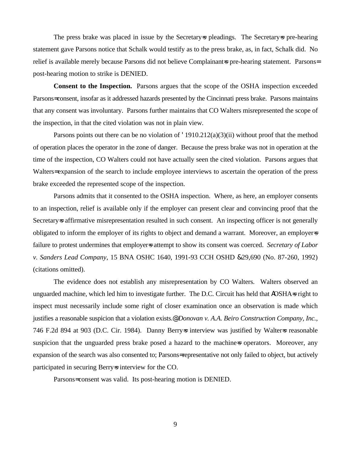The press brake was placed in issue by the Secretary=s pleadings. The Secretary=s pre-hearing statement gave Parsons notice that Schalk would testify as to the press brake, as, in fact, Schalk did. No relief is available merely because Parsons did not believe Complainant=s pre-hearing statement. Parsons= post-hearing motion to strike is DENIED.

**Consent to the Inspection.** Parsons argues that the scope of the OSHA inspection exceeded Parsons= consent, insofar as it addressed hazards presented by the Cincinnati press brake. Parsons maintains that any consent was involuntary. Parsons further maintains that CO Walters misrepresented the scope of the inspection, in that the cited violation was not in plain view.

Parsons points out there can be no violation of '1910.212(a)(3)(ii) without proof that the method of operation places the operator in the zone of danger. Because the press brake was not in operation at the time of the inspection, CO Walters could not have actually seen the cited violation. Parsons argues that Walters= expansion of the search to include employee interviews to ascertain the operation of the press brake exceeded the represented scope of the inspection.

Parsons admits that it consented to the OSHA inspection. Where, as here, an employer consents to an inspection, relief is available only if the employer can present clear and convincing proof that the Secretary=s affirmative misrepresentation resulted in such consent. An inspecting officer is not generally obligated to inform the employer of its rights to object and demand a warrant. Moreover, an employer=s failure to protest undermines that employers attempt to show its consent was coerced. *Secretary of Labor v. Sanders Lead Company*, 15 BNA OSHC 1640, 1991-93 CCH OSHD &29,690 (No. 87-260, 1992) (citations omitted).

The evidence does not establish any misrepresentation by CO Walters. Walters observed an unguarded machine, which led him to investigate further. The D.C. Circuit has held that AOSHA=s right to inspect must necessarily include some right of closer examination once an observation is made which justifies a reasonable suspicion that a violation exists.@ *Donovan v. A.A. Beiro Construction Company, Inc.*, 746 F.2d 894 at 903 (D.C. Cir. 1984). Danny Berrys interview was justified by Walters reasonable suspicion that the unguarded press brake posed a hazard to the machiness operators. Moreover, any expansion of the search was also consented to; Parsons= representative not only failed to object, but actively participated in securing Berry=s interview for the CO.

Parsons= consent was valid. Its post-hearing motion is DENIED.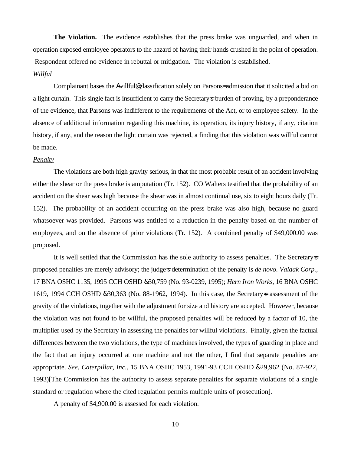**The Violation.** The evidence establishes that the press brake was unguarded, and when in operation exposed employee operators to the hazard of having their hands crushed in the point of operation. Respondent offered no evidence in rebuttal or mitigation. The violation is established.

## *Willful*

Complainant bases the Awillful@ classification solely on Parsons= admission that it solicited a bid on a light curtain. This single fact is insufficient to carry the Secretary=s burden of proving, by a preponderance of the evidence, that Parsons was indifferent to the requirements of the Act, or to employee safety. In the absence of additional information regarding this machine, its operation, its injury history, if any, citation history, if any, and the reason the light curtain was rejected, a finding that this violation was willful cannot be made.

### *Penalty*

The violations are both high gravity serious, in that the most probable result of an accident involving either the shear or the press brake is amputation (Tr. 152). CO Walters testified that the probability of an accident on the shear was high because the shear was in almost continual use, six to eight hours daily (Tr. 152). The probability of an accident occurring on the press brake was also high, because no guard whatsoever was provided. Parsons was entitled to a reduction in the penalty based on the number of employees, and on the absence of prior violations (Tr. 152). A combined penalty of \$49,000.00 was proposed.

It is well settled that the Commission has the sole authority to assess penalties. The Secretary  $\approx$ proposed penalties are merely advisory; the judge=s determination of the penalty is *de novo*. *Valdak Corp.,* 17 BNA OSHC 1135, 1995 CCH OSHD &30,759 (No. 93-0239, 1995); *Hern Iron Works,* 16 BNA OSHC 1619, 1994 CCH OSHD &30,363 (No. 88-1962, 1994). In this case, the Secretary=s assessment of the gravity of the violations, together with the adjustment for size and history are accepted. However, because the violation was not found to be willful, the proposed penalties will be reduced by a factor of 10, the multiplier used by the Secretary in assessing the penalties for willful violations. Finally, given the factual differences between the two violations, the type of machines involved, the types of guarding in place and the fact that an injury occurred at one machine and not the other, I find that separate penalties are appropriate. *See, Caterpillar, Inc.*, 15 BNA OSHC 1953, 1991-93 CCH OSHD &29,962 (No. 87-922, 1993)[The Commission has the authority to assess separate penalties for separate violations of a single standard or regulation where the cited regulation permits multiple units of prosecution].

A penalty of \$4,900.00 is assessed for each violation.